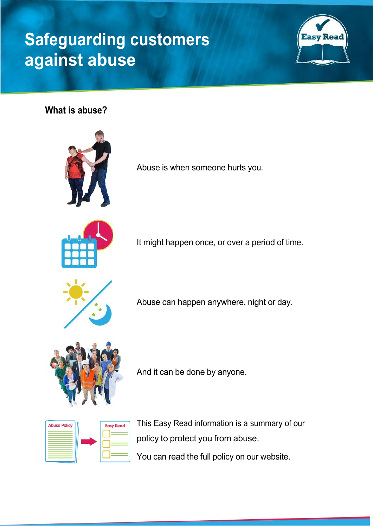## **Safeguarding customers against abuse**



**What is abuse?**



Abuse is when someone hurts you.



It might happen once, or over a period of time.



Abuse can happen anywhere, night or day.



And it can be done by anyone.

| <b>Abuse Policy</b> | <b>Easy Read</b> |
|---------------------|------------------|
|                     |                  |
|                     |                  |
|                     |                  |

This Easy Read information is a summary of our policy to protect you from abuse. You can read the full policy on our website.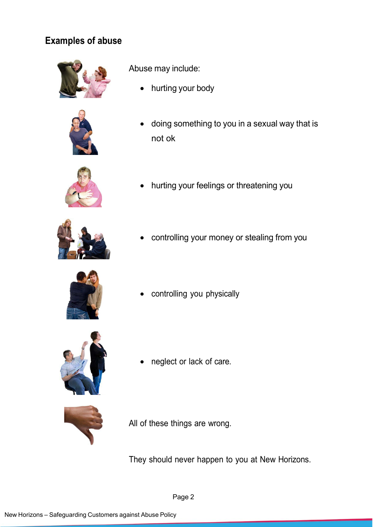## **Examples of abuse**





Abuse may include:

- hurting your body
- doing something to you in a sexual way that is not ok







• controlling your money or stealing from you



• controlling you physically



neglect or lack of care.



All of these things are wrong.

They should never happen to you at New Horizons.

Page 2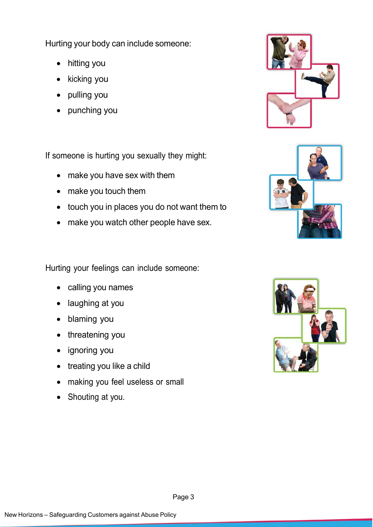Hurting your body can include someone:

- hitting you
- kicking you
- pulling you
- punching you

If someone is hurting you sexually they might:

- make you have sex with them
- make you touch them
- touch you in places you do not want them to
- make you watch other people have sex.

Hurting your feelings can include someone:

- calling you names
- laughing at you
- blaming you
- threatening you
- ignoring you
- treating you like a child
- making you feel useless or small
- Shouting at you.





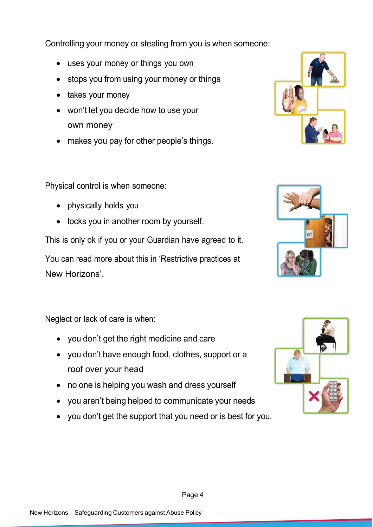Controlling your money or stealing from you is when someone:

- uses your money or things you own
- stops you from using your money or things
- takes your money
- won't let you decide how to use your own money
- makes you pay for other people's things.

Physical control is when someone:

- physically holds you
- locks you in another room by yourself.

This is only ok if you or your Guardian have agreed to it.

You can read more about this in 'Restrictive practices at New Horizons'.

Neglect or lack of care is when:

- you don't get the right medicine and care
- you don't have enough food, clothes, support or a roof over your head
- no one is helping you wash and dress yourself
- you aren't being helped to communicate your needs
- you don't get the support that you need or is best for you.









Page 4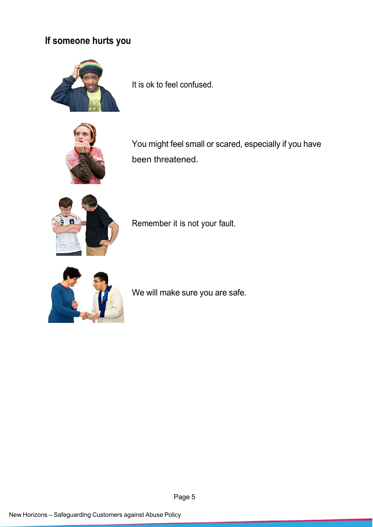## **If someone hurts you**



It is ok to feel confused.



You might feel small or scared, especially if you have been threatened.



Remember it is not your fault.



We will make sure you are safe.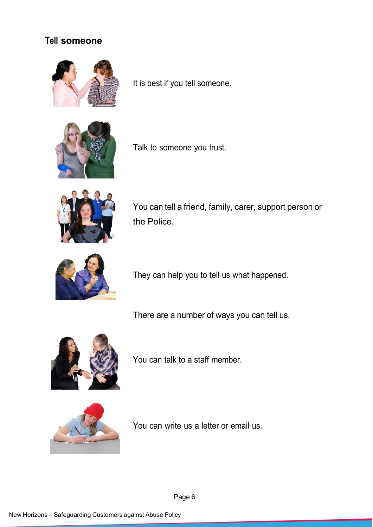## **Tell someone**



It is best if you tell someone.



Talk to someone you trust.



You can tell a friend, family, carer, support person or the Police.



They can help you to tell us what happened.

There are a number of ways you can tell us.



You can talk to a staff member.



You can write us a letter or email us.

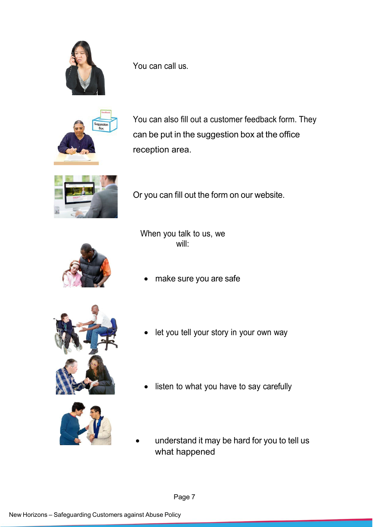

You can call us.



You can also fill out a customer feedback form. They can be put in the suggestion box at the office reception area.



Or you can fill out the form on our website.



When you talk to us, we will:

make sure you are safe





- let you tell your story in your own way
- listen to what you have to say carefully
- understand it may be hard for you to tell us what happened

Page 7